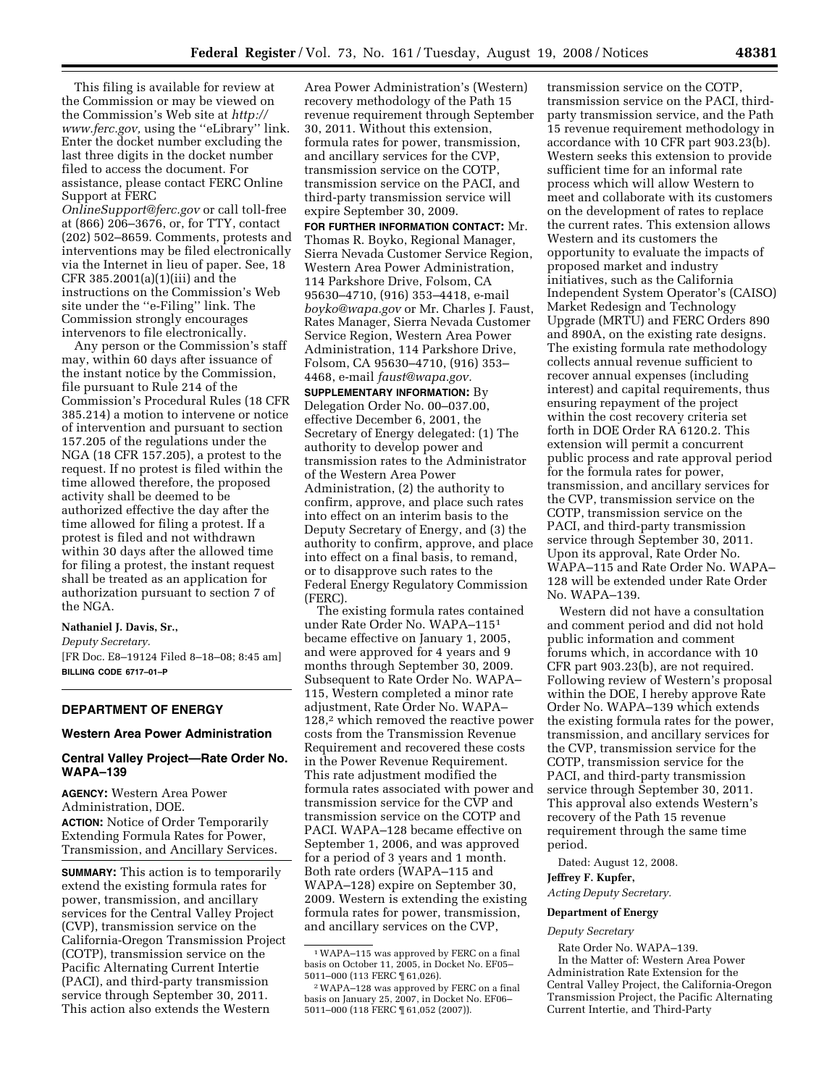This filing is available for review at the Commission or may be viewed on the Commission's Web site at *http:// www.ferc.gov,* using the ''eLibrary'' link. Enter the docket number excluding the last three digits in the docket number filed to access the document. For assistance, please contact FERC Online Support at FERC

*OnlineSupport@ferc.gov* or call toll-free at (866) 206–3676, or, for TTY, contact (202) 502–8659. Comments, protests and interventions may be filed electronically via the Internet in lieu of paper. See, 18 CFR 385.2001(a)(1)(iii) and the instructions on the Commission's Web site under the ''e-Filing'' link. The Commission strongly encourages intervenors to file electronically.

Any person or the Commission's staff may, within 60 days after issuance of the instant notice by the Commission, file pursuant to Rule 214 of the Commission's Procedural Rules (18 CFR 385.214) a motion to intervene or notice of intervention and pursuant to section 157.205 of the regulations under the NGA (18 CFR 157.205), a protest to the request. If no protest is filed within the time allowed therefore, the proposed activity shall be deemed to be authorized effective the day after the time allowed for filing a protest. If a protest is filed and not withdrawn within 30 days after the allowed time for filing a protest, the instant request shall be treated as an application for authorization pursuant to section 7 of the NGA.

# **Nathaniel J. Davis, Sr.,**

*Deputy Secretary.*  [FR Doc. E8–19124 Filed 8–18–08; 8:45 am] **BILLING CODE 6717–01–P** 

# **DEPARTMENT OF ENERGY**

### **Western Area Power Administration**

## **Central Valley Project—Rate Order No. WAPA–139**

**AGENCY:** Western Area Power Administration, DOE. **ACTION:** Notice of Order Temporarily Extending Formula Rates for Power, Transmission, and Ancillary Services.

**SUMMARY:** This action is to temporarily extend the existing formula rates for power, transmission, and ancillary services for the Central Valley Project (CVP), transmission service on the California-Oregon Transmission Project (COTP), transmission service on the Pacific Alternating Current Intertie (PACI), and third-party transmission service through September 30, 2011. This action also extends the Western

Area Power Administration's (Western) recovery methodology of the Path 15 revenue requirement through September 30, 2011. Without this extension, formula rates for power, transmission, and ancillary services for the CVP, transmission service on the COTP, transmission service on the PACI, and third-party transmission service will expire September 30, 2009.

**FOR FURTHER INFORMATION CONTACT:** Mr. Thomas R. Boyko, Regional Manager, Sierra Nevada Customer Service Region, Western Area Power Administration, 114 Parkshore Drive, Folsom, CA 95630–4710, (916) 353–4418, e-mail *boyko@wapa.gov* or Mr. Charles J. Faust, Rates Manager, Sierra Nevada Customer Service Region, Western Area Power Administration, 114 Parkshore Drive, Folsom, CA 95630–4710, (916) 353– 4468, e-mail *faust@wapa.gov.* 

**SUPPLEMENTARY INFORMATION:** By Delegation Order No. 00–037.00, effective December 6, 2001, the Secretary of Energy delegated: (1) The authority to develop power and transmission rates to the Administrator of the Western Area Power Administration, (2) the authority to confirm, approve, and place such rates into effect on an interim basis to the Deputy Secretary of Energy, and (3) the authority to confirm, approve, and place into effect on a final basis, to remand, or to disapprove such rates to the Federal Energy Regulatory Commission (FERC).

The existing formula rates contained under Rate Order No. WAPA–1151 became effective on January 1, 2005, and were approved for 4 years and 9 months through September 30, 2009. Subsequent to Rate Order No. WAPA– 115, Western completed a minor rate adjustment, Rate Order No. WAPA– 128,2 which removed the reactive power costs from the Transmission Revenue Requirement and recovered these costs in the Power Revenue Requirement. This rate adjustment modified the formula rates associated with power and transmission service for the CVP and transmission service on the COTP and PACI. WAPA–128 became effective on September 1, 2006, and was approved for a period of 3 years and 1 month. Both rate orders (WAPA–115 and WAPA–128) expire on September 30, 2009. Western is extending the existing formula rates for power, transmission, and ancillary services on the CVP,

transmission service on the COTP, transmission service on the PACI, thirdparty transmission service, and the Path 15 revenue requirement methodology in accordance with 10 CFR part 903.23(b). Western seeks this extension to provide sufficient time for an informal rate process which will allow Western to meet and collaborate with its customers on the development of rates to replace the current rates. This extension allows Western and its customers the opportunity to evaluate the impacts of proposed market and industry initiatives, such as the California Independent System Operator's (CAISO) Market Redesign and Technology Upgrade (MRTU) and FERC Orders 890 and 890A, on the existing rate designs. The existing formula rate methodology collects annual revenue sufficient to recover annual expenses (including interest) and capital requirements, thus ensuring repayment of the project within the cost recovery criteria set forth in DOE Order RA 6120.2. This extension will permit a concurrent public process and rate approval period for the formula rates for power, transmission, and ancillary services for the CVP, transmission service on the COTP, transmission service on the PACI, and third-party transmission service through September 30, 2011. Upon its approval, Rate Order No. WAPA–115 and Rate Order No. WAPA– 128 will be extended under Rate Order No. WAPA–139.

Western did not have a consultation and comment period and did not hold public information and comment forums which, in accordance with 10 CFR part 903.23(b), are not required. Following review of Western's proposal within the DOE, I hereby approve Rate Order No. WAPA–139 which extends the existing formula rates for the power, transmission, and ancillary services for the CVP, transmission service for the COTP, transmission service for the PACI, and third-party transmission service through September 30, 2011. This approval also extends Western's recovery of the Path 15 revenue requirement through the same time period.

Dated: August 12, 2008.

**Jeffrey F. Kupfer,** 

*Acting Deputy Secretary.* 

# **Department of Energy**

### *Deputy Secretary*

Rate Order No. WAPA–139. In the Matter of: Western Area Power Administration Rate Extension for the Central Valley Project, the California-Oregon Transmission Project, the Pacific Alternating Current Intertie, and Third-Party

<sup>1</sup>WAPA–115 was approved by FERC on a final basis on October 11, 2005, in Docket No. EF05– 5011–000 (113 FERC ¶ 61,026).

<sup>2</sup>WAPA–128 was approved by FERC on a final basis on January 25, 2007, in Docket No. EF06– 5011–000 (118 FERC ¶ 61,052 (2007)).